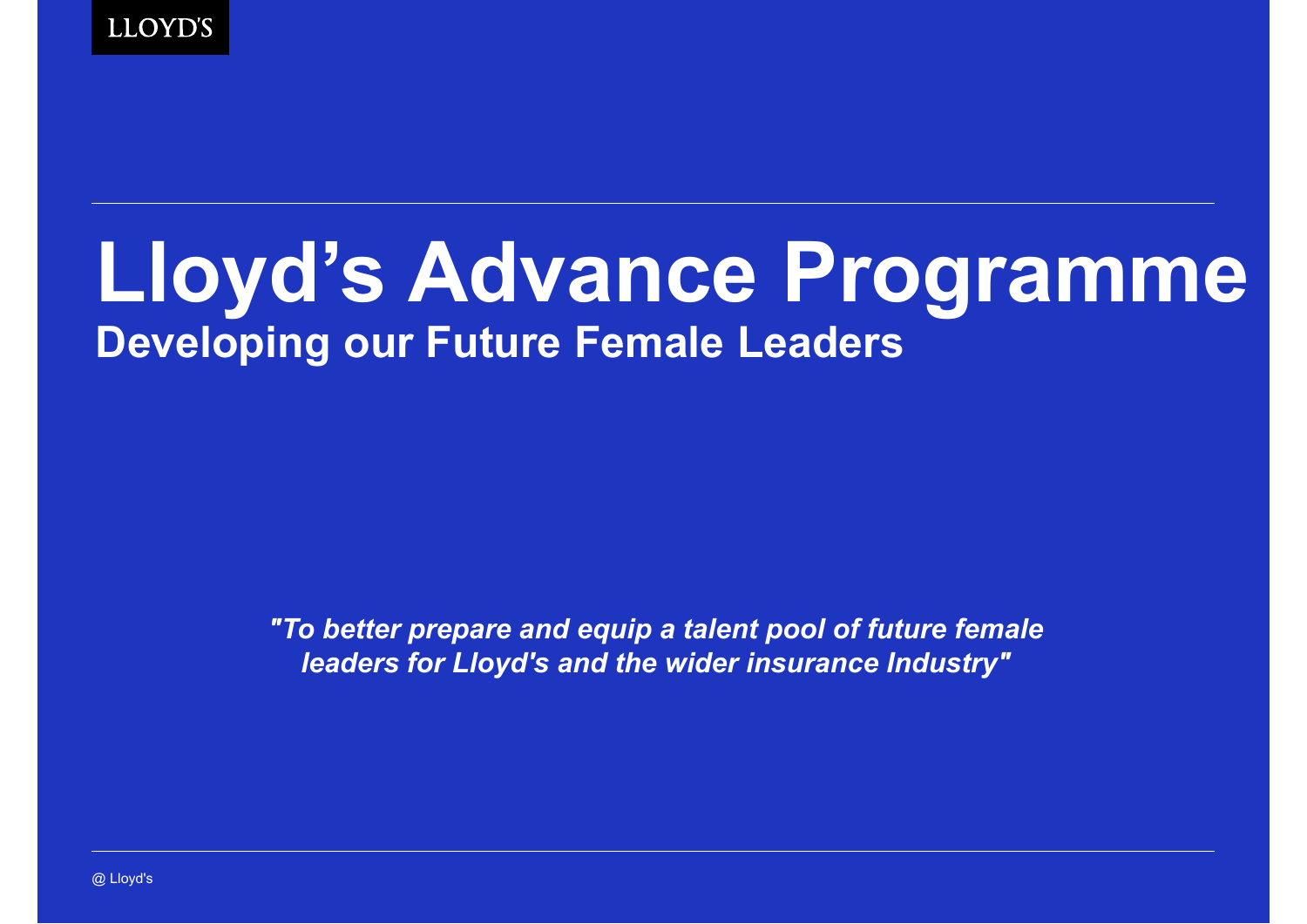

# **Lloyd's Advance Programme Developing our Future Female Leaders**

*"To better prepare and equip a talent pool of future female leaders for Lloyd's and the wider insurance Industry"*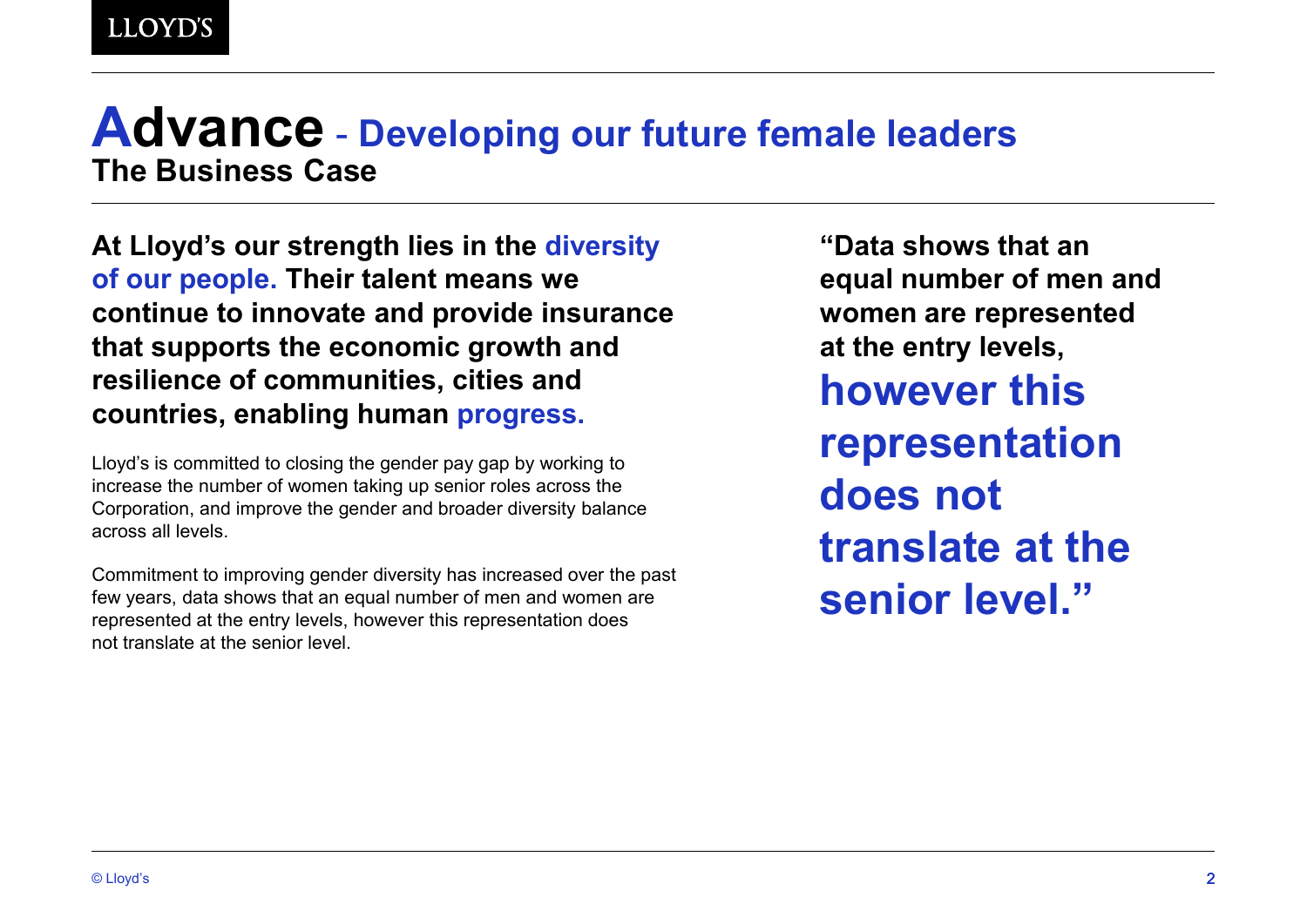### **Advance** - **Developing our future female leaders The Business Case**

**At Lloyd's our strength lies in the diversity of our people. Their talent means we continue to innovate and provide insurance that supports the economic growth and resilience of communities, cities and countries, enabling human progress.**

Lloyd's is committed to closing the gender pay gap by working to increase the number of women taking up senior roles across the Corporation, and improve the gender and broader diversity balance across all levels.

Commitment to improving gender diversity has increased over the past few years, data shows that an equal number of men and women are represented at the entry levels, however this representation does not translate at the senior level.

**"Data shows that an equal number of men and women are represented at the entry levels, however this representation does not translate at the senior level."**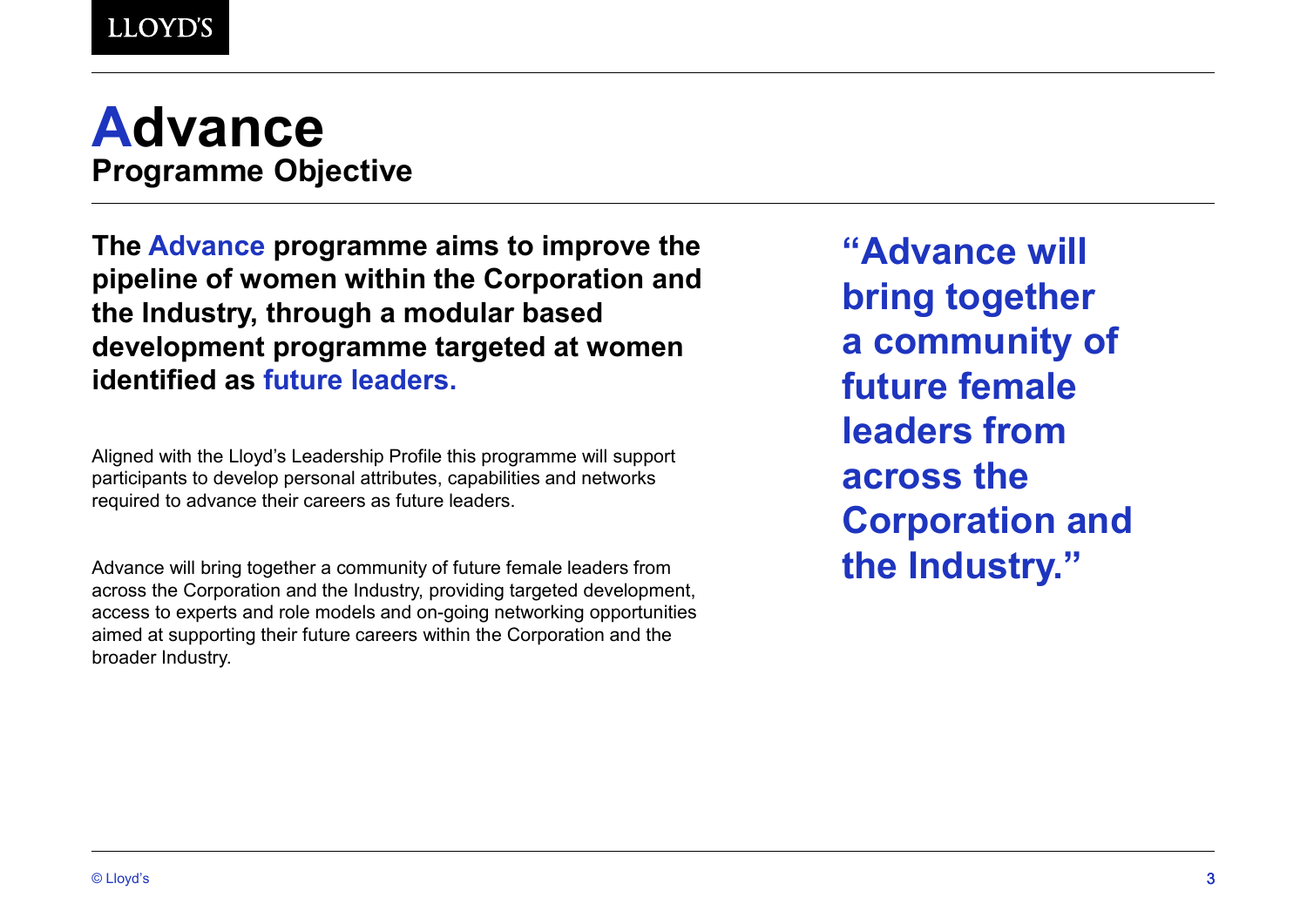# **Advance Programme Objective**

**The Advance programme aims to improve the pipeline of women within the Corporation and the Industry, through a modular based development programme targeted at women identified as future leaders.**

Aligned with the Lloyd's Leadership Profile this programme will support participants to develop personal attributes, capabilities and networks required to advance their careers as future leaders.

Advance will bring together a community of future female leaders from across the Corporation and the Industry, providing targeted development, access to experts and role models and on-going networking opportunities aimed at supporting their future careers within the Corporation and the broader Industry.

**"Advance will bring together a community of future female leaders from across the Corporation and the Industry."**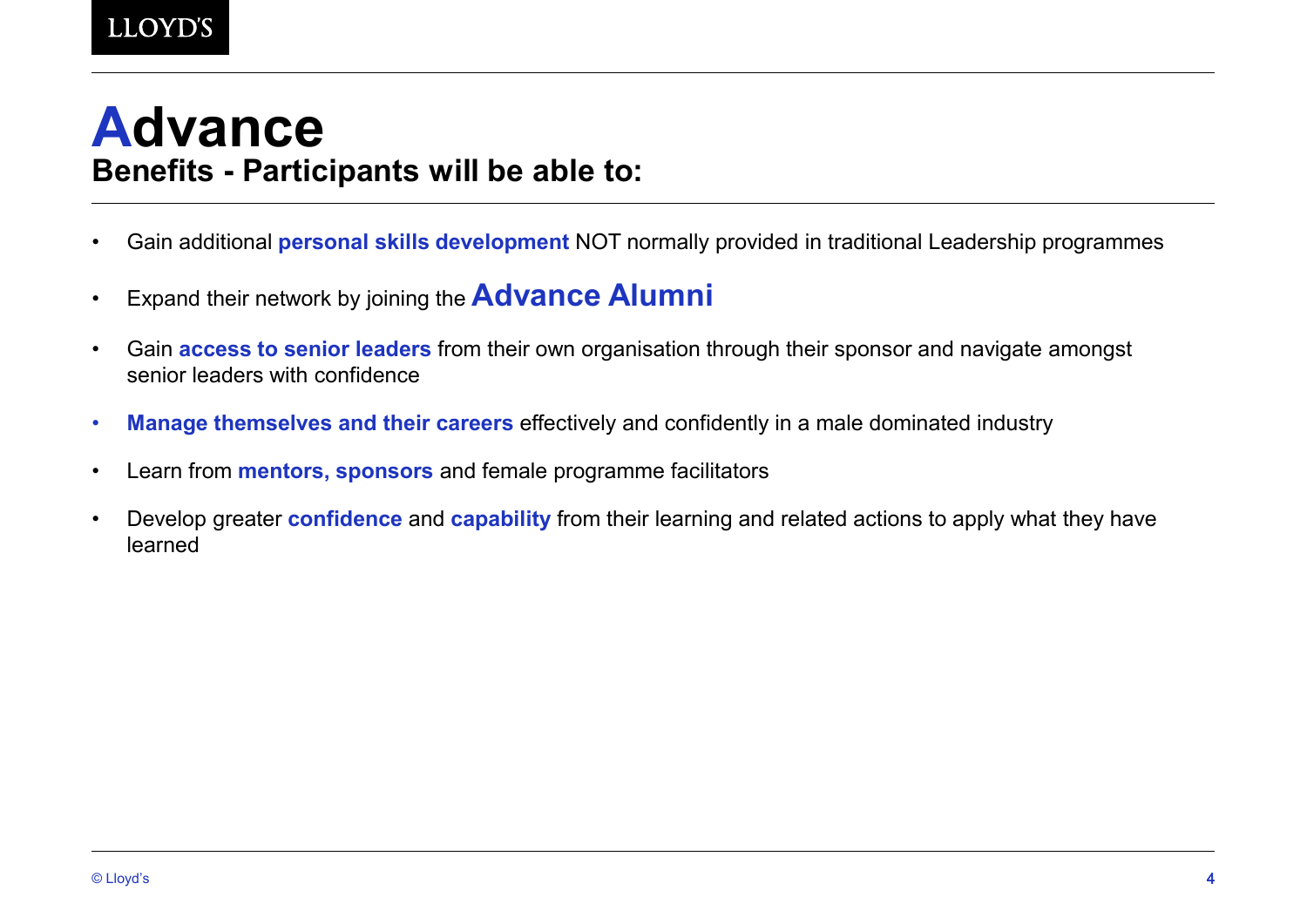# **Advance Benefits - Participants will be able to:**

- Gain additional **personal skills development** NOT normally provided in traditional Leadership programmes
- Expand their network by joining the **Advance Alumni**
- Gain **access to senior leaders** from their own organisation through their sponsor and navigate amongst senior leaders with confidence
- **Manage themselves and their careers** effectively and confidently in a male dominated industry
- Learn from **mentors, sponsors** and female programme facilitators
- Develop greater **confidence** and **capability** from their learning and related actions to apply what they have learned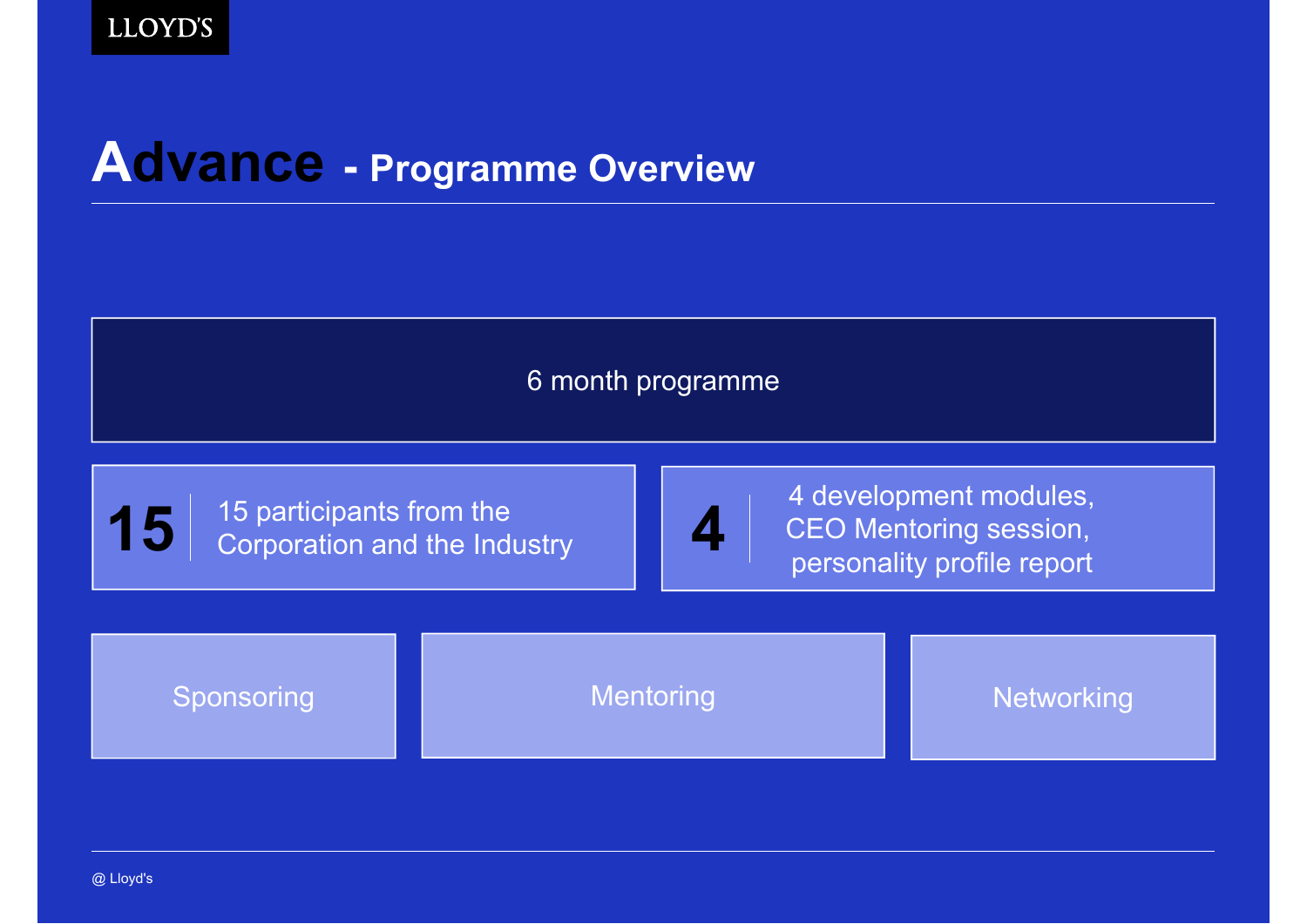# **Advance - Programme Overview**

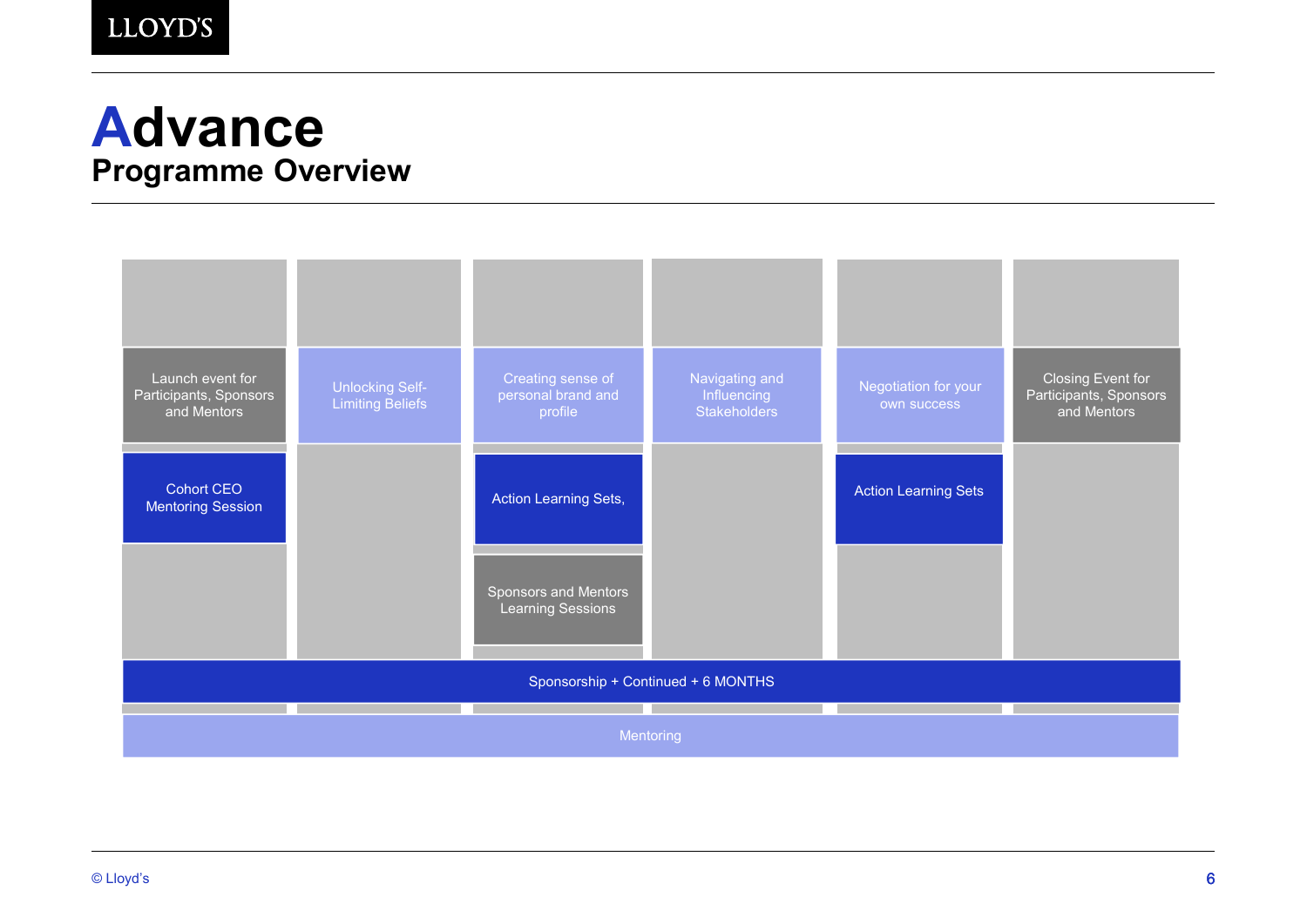## **Advance Programme Overview**

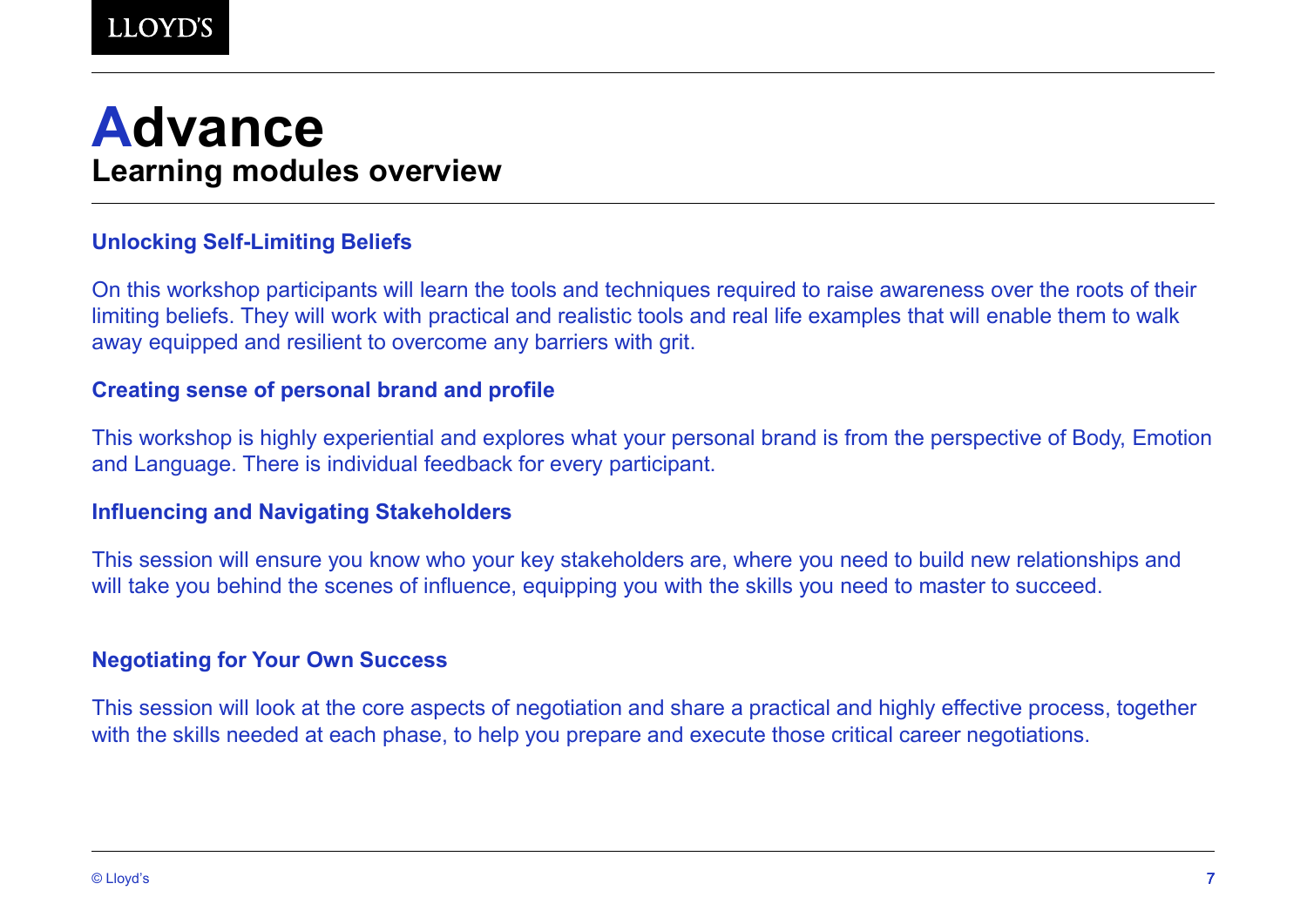# **Advance Learning modules overview**

#### **Unlocking Self-Limiting Beliefs**

On this workshop participants will learn the tools and techniques required to raise awareness over the roots of their limiting beliefs. They will work with practical and realistic tools and real life examples that will enable them to walk away equipped and resilient to overcome any barriers with grit.

#### **Creating sense of personal brand and profile**

This workshop is highly experiential and explores what your personal brand is from the perspective of Body, Emotion and Language. There is individual feedback for every participant.

#### **Influencing and Navigating Stakeholders**

This session will ensure you know who your key stakeholders are, where you need to build new relationships and will take you behind the scenes of influence, equipping you with the skills you need to master to succeed.

#### **Negotiating for Your Own Success**

This session will look at the core aspects of negotiation and share a practical and highly effective process, together with the skills needed at each phase, to help you prepare and execute those critical career negotiations.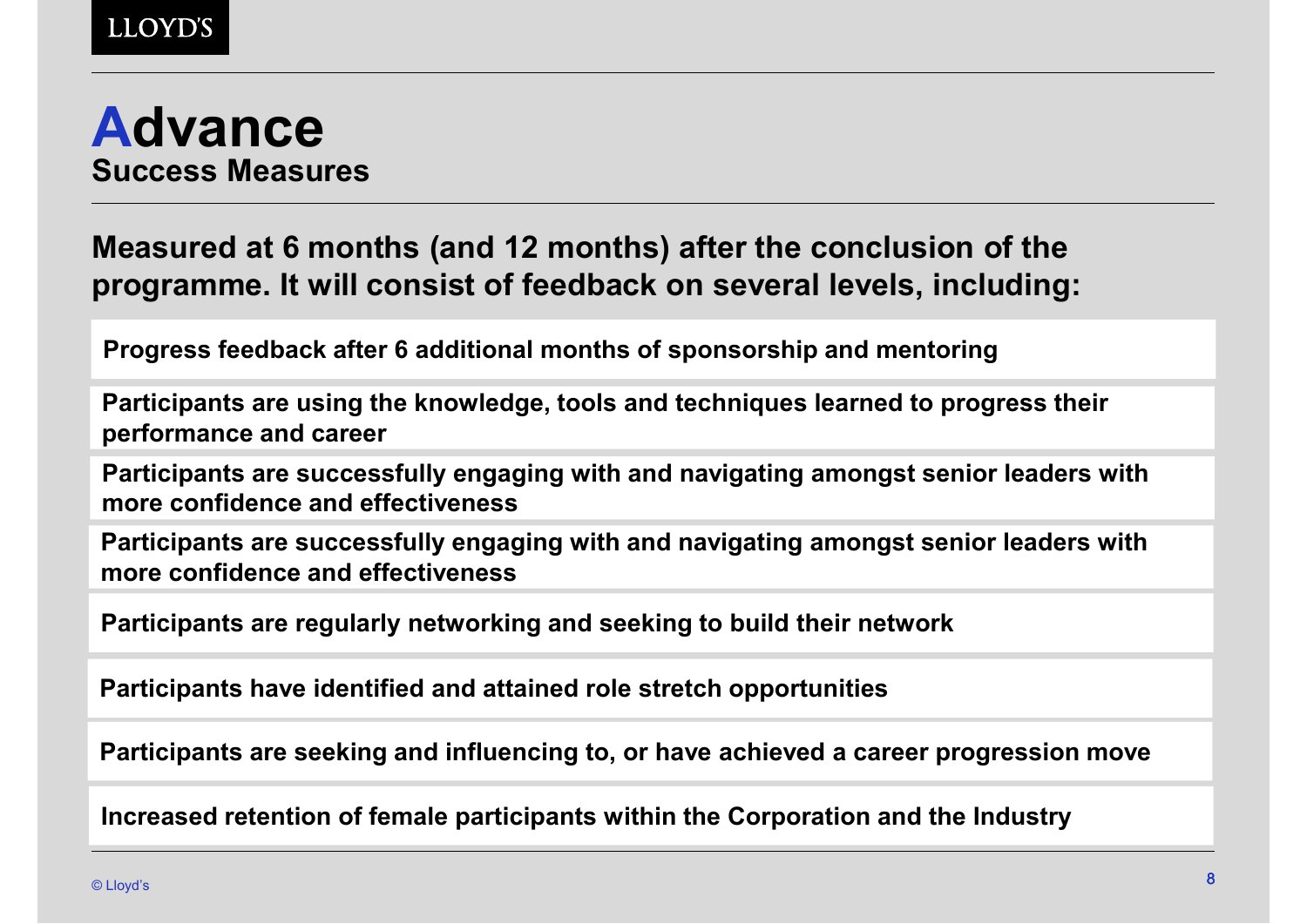

### **Measured at 6 months (and 12 months) after the conclusion of the programme. It will consist of feedback on several levels, including:**

**Progress feedback after 6 additional months of sponsorship and mentoring** 

**Participants are using the knowledge, tools and techniques learned to progress their performance and career** 

**Participants are successfully engaging with and navigating amongst senior leaders with more confidence and effectiveness** 

**Participants are successfully engaging with and navigating amongst senior leaders with more confidence and effectiveness** 

**Participants are regularly networking and seeking to build their network**

**Participants have identified and attained role stretch opportunities**

**Participants are seeking and influencing to, or have achieved a career progression move**

**Increased retention of female participants within the Corporation and the Industry**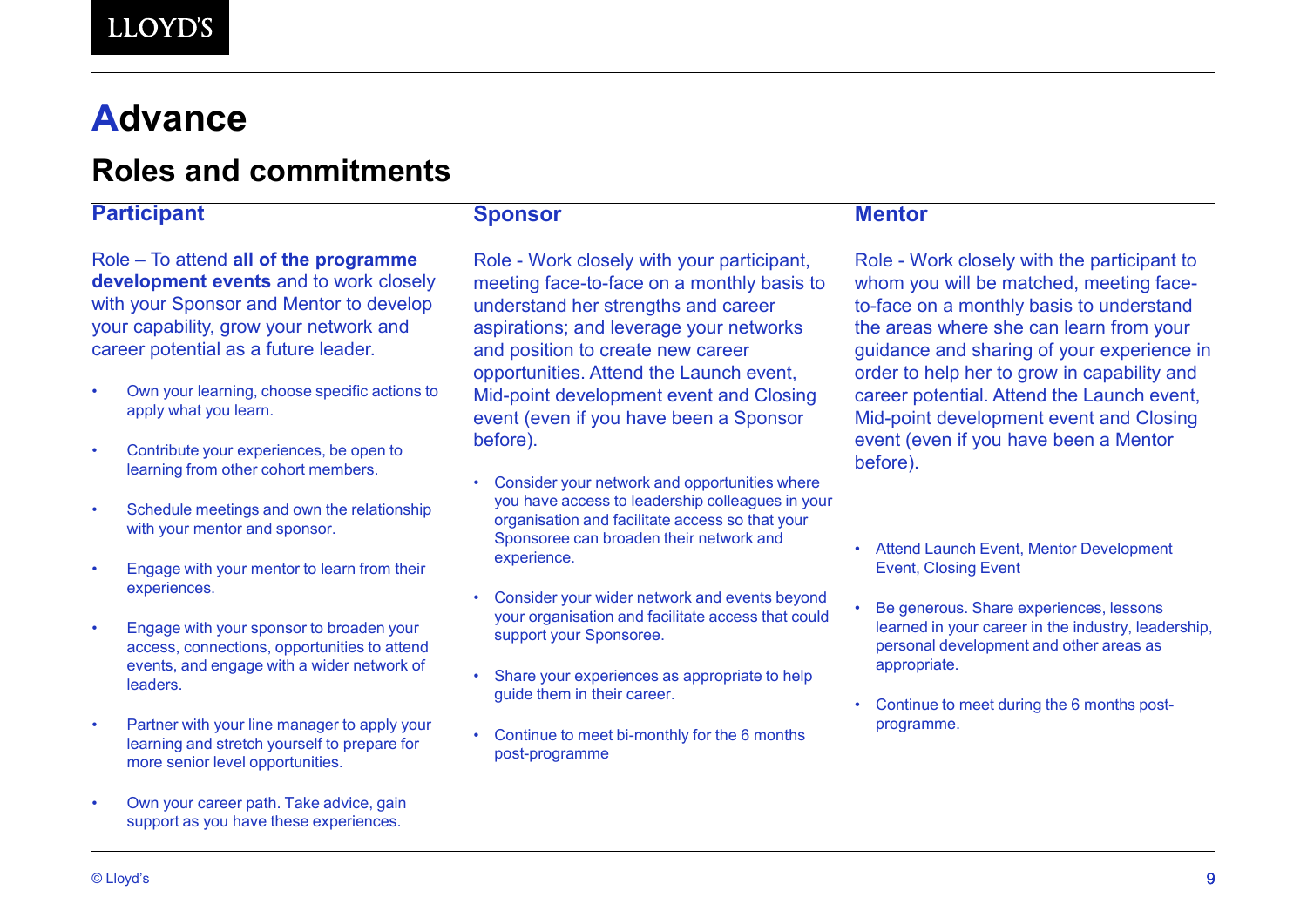## **Advance**

### **Roles and commitments**

#### **Participant**

Role – To attend **all of the programme development events** and to work closely with your Sponsor and Mentor to develop your capability, grow your network and career potential as a future leader.

- Own your learning, choose specific actions to apply what you learn.
- Contribute your experiences, be open to learning from other cohort members.
- Schedule meetings and own the relationship with your mentor and sponsor.
- Engage with your mentor to learn from their experiences.
- Engage with your sponsor to broaden your access, connections, opportunities to attend events, and engage with a wider network of leaders.
- Partner with your line manager to apply your learning and stretch yourself to prepare for more senior level opportunities.
- Own your career path. Take advice, gain support as you have these experiences.

**Sponsor**

Role - Work closely with your participant, meeting face-to-face on a monthly basis to understand her strengths and career aspirations; and leverage your networks and position to create new career opportunities. Attend the Launch event, Mid-point development event and Closing event (even if you have been a Sponsor before).

- Consider your network and opportunities where you have access to leadership colleagues in your organisation and facilitate access so that your Sponsoree can broaden their network and experience.
- Consider your wider network and events beyond your organisation and facilitate access that could support your Sponsoree.
- Share your experiences as appropriate to help guide them in their career.
- Continue to meet bi-monthly for the 6 months post-programme

#### **Mentor**

Role - Work closely with the participant to whom you will be matched, meeting faceto-face on a monthly basis to understand the areas where she can learn from your guidance and sharing of your experience in order to help her to grow in capability and career potential. Attend the Launch event, Mid-point development event and Closing event (even if you have been a Mentor before).

- Attend Launch Event, Mentor Development Event, Closing Event
- Be generous. Share experiences, lessons learned in your career in the industry, leadership, personal development and other areas as appropriate.
- Continue to meet during the 6 months postprogramme.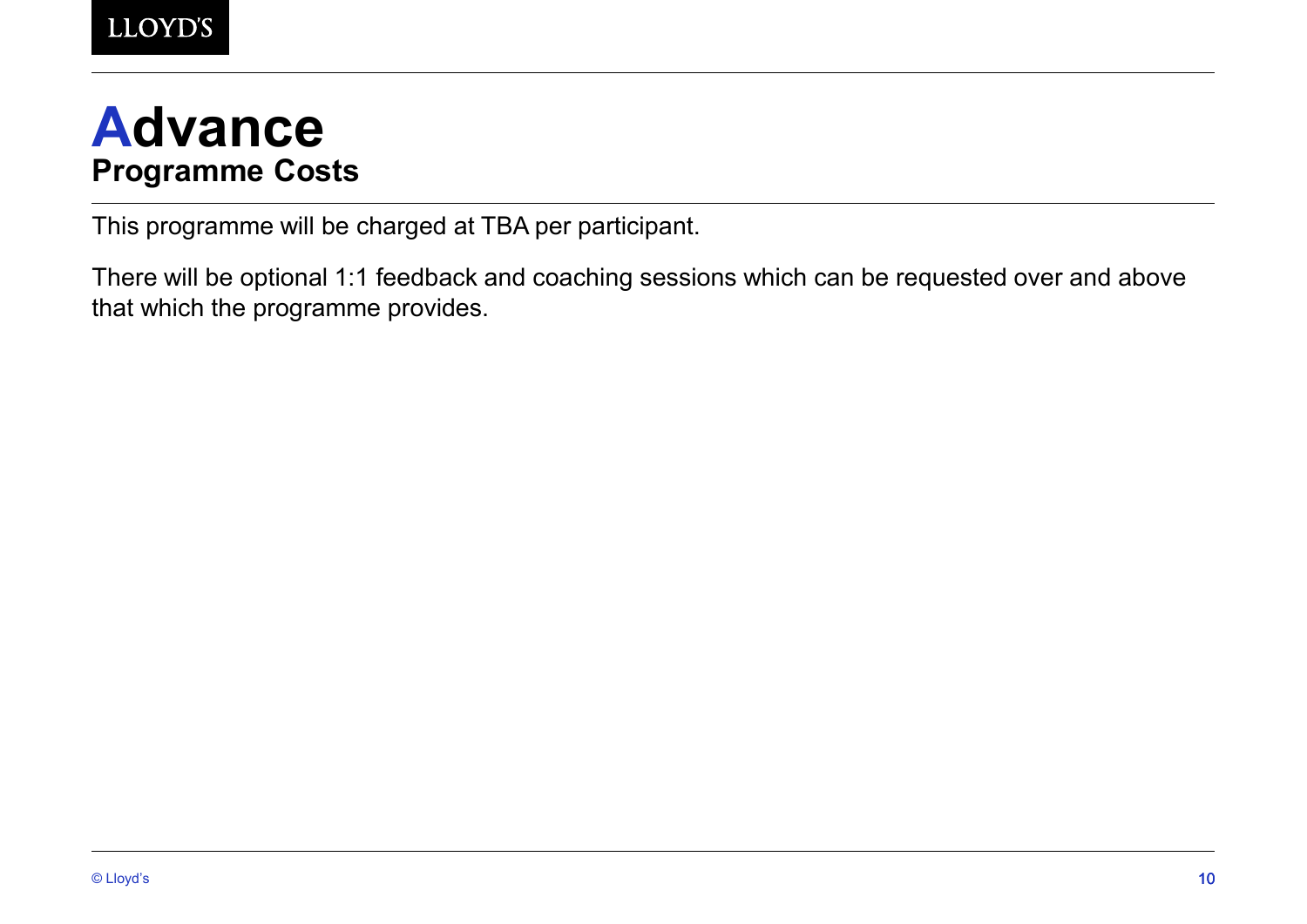# **Advance Programme Costs**

This programme will be charged at TBA per participant.

There will be optional 1:1 feedback and coaching sessions which can be requested over and above that which the programme provides.